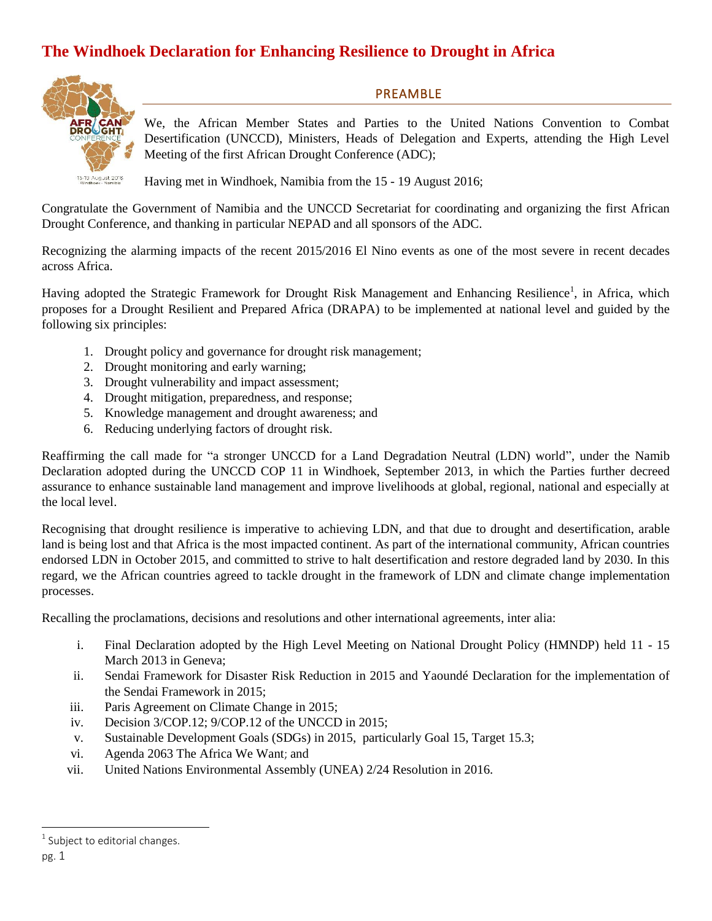## **The Windhoek Declaration for Enhancing Resilience to Drought in Africa**



PREAMBLE

We, the African Member States and Parties to the United Nations Convention to Combat Desertification (UNCCD), Ministers, Heads of Delegation and Experts, attending the High Level Meeting of the first African Drought Conference (ADC);

Having met in Windhoek, Namibia from the 15 - 19 August 2016;

Congratulate the Government of Namibia and the UNCCD Secretariat for coordinating and organizing the first African Drought Conference, and thanking in particular NEPAD and all sponsors of the ADC.

Recognizing the alarming impacts of the recent 2015/2016 El Nino events as one of the most severe in recent decades across Africa.

Having adopted the Strategic Framework for Drought Risk Management and Enhancing Resilience<sup>1</sup>, in Africa, which proposes for a Drought Resilient and Prepared Africa (DRAPA) to be implemented at national level and guided by the following six principles:

- 1. Drought policy and governance for drought risk management;
- 2. Drought monitoring and early warning;
- 3. Drought vulnerability and impact assessment;
- 4. Drought mitigation, preparedness, and response;
- 5. Knowledge management and drought awareness; and
- 6. Reducing underlying factors of drought risk.

Reaffirming the call made for "a stronger UNCCD for a Land Degradation Neutral (LDN) world", under the Namib Declaration adopted during the UNCCD COP 11 in Windhoek, September 2013, in which the Parties further decreed assurance to enhance sustainable land management and improve livelihoods at global, regional, national and especially at the local level.

Recognising that drought resilience is imperative to achieving LDN, and that due to drought and desertification, arable land is being lost and that Africa is the most impacted continent. As part of the international community, African countries endorsed LDN in October 2015, and committed to strive to halt desertification and restore degraded land by 2030. In this regard, we the African countries agreed to tackle drought in the framework of LDN and climate change implementation processes.

Recalling the proclamations, decisions and resolutions and other international agreements, inter alia:

- i. Final Declaration adopted by the High Level Meeting on National Drought Policy (HMNDP) held 11 15 March 2013 in Geneva;
- ii. Sendai Framework for Disaster Risk Reduction in 2015 and Yaoundé Declaration for the implementation of the Sendai Framework in 2015;
- iii. Paris Agreement on Climate Change in 2015;
- iv. Decision 3/COP.12; 9/COP.12 of the UNCCD in 2015;
- v. Sustainable Development Goals (SDGs) in 2015, particularly Goal 15, Target 15.3;
- vi. Agenda 2063 The Africa We Want; and
- vii. United Nations Environmental Assembly (UNEA) 2/24 Resolution in 2016.

l

 $<sup>1</sup>$  Subject to editorial changes.</sup>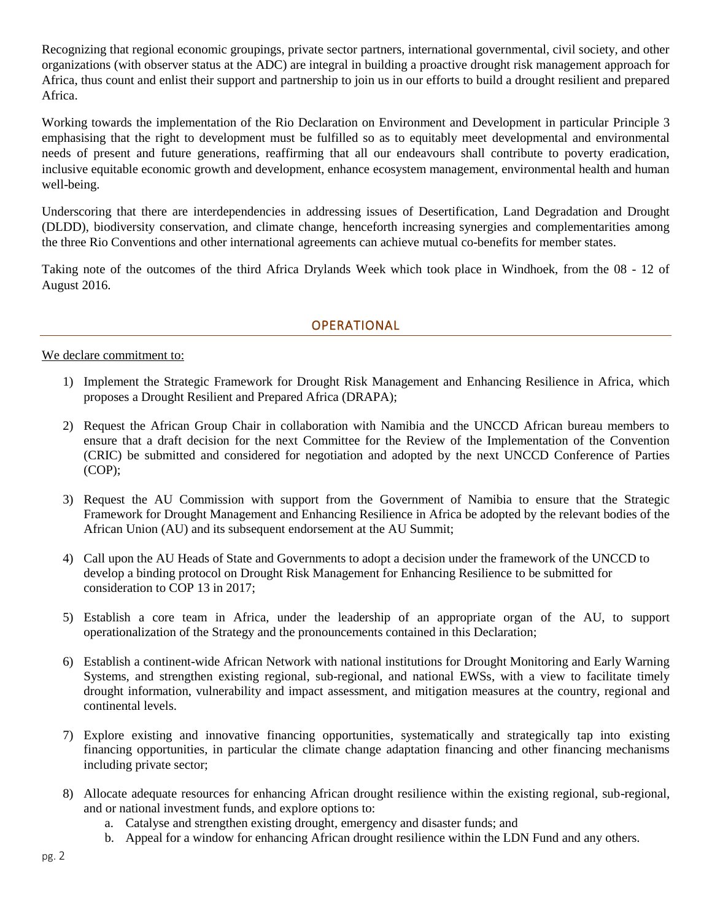Recognizing that regional economic groupings, private sector partners, international governmental, civil society, and other organizations (with observer status at the ADC) are integral in building a proactive drought risk management approach for Africa, thus count and enlist their support and partnership to join us in our efforts to build a drought resilient and prepared Africa.

Working towards the implementation of the Rio Declaration on Environment and Development in particular Principle 3 emphasising that the right to development must be fulfilled so as to equitably meet developmental and environmental needs of present and future generations, reaffirming that all our endeavours shall contribute to poverty eradication, inclusive equitable economic growth and development, enhance ecosystem management, environmental health and human well-being.

Underscoring that there are interdependencies in addressing issues of Desertification, Land Degradation and Drought (DLDD), biodiversity conservation, and climate change, henceforth increasing synergies and complementarities among the three Rio Conventions and other international agreements can achieve mutual co-benefits for member states.

Taking note of the outcomes of the third Africa Drylands Week which took place in Windhoek, from the 08 - 12 of August 2016.

## OPERATIONAL

## We declare commitment to:

- 1) Implement the Strategic Framework for Drought Risk Management and Enhancing Resilience in Africa, which proposes a Drought Resilient and Prepared Africa (DRAPA);
- 2) Request the African Group Chair in collaboration with Namibia and the UNCCD African bureau members to ensure that a draft decision for the next Committee for the Review of the Implementation of the Convention (CRIC) be submitted and considered for negotiation and adopted by the next UNCCD Conference of Parties (COP);
- 3) Request the AU Commission with support from the Government of Namibia to ensure that the Strategic Framework for Drought Management and Enhancing Resilience in Africa be adopted by the relevant bodies of the African Union (AU) and its subsequent endorsement at the AU Summit;
- 4) Call upon the AU Heads of State and Governments to adopt a decision under the framework of the UNCCD to develop a binding protocol on Drought Risk Management for Enhancing Resilience to be submitted for consideration to COP 13 in 2017;
- 5) Establish a core team in Africa, under the leadership of an appropriate organ of the AU, to support operationalization of the Strategy and the pronouncements contained in this Declaration;
- 6) Establish a continent-wide African Network with national institutions for Drought Monitoring and Early Warning Systems, and strengthen existing regional, sub-regional, and national EWSs, with a view to facilitate timely drought information, vulnerability and impact assessment, and mitigation measures at the country, regional and continental levels.
- 7) Explore existing and innovative financing opportunities, systematically and strategically tap into existing financing opportunities, in particular the climate change adaptation financing and other financing mechanisms including private sector;
- 8) Allocate adequate resources for enhancing African drought resilience within the existing regional, sub-regional, and or national investment funds, and explore options to:
	- a. Catalyse and strengthen existing drought, emergency and disaster funds; and
	- b. Appeal for a window for enhancing African drought resilience within the LDN Fund and any others.